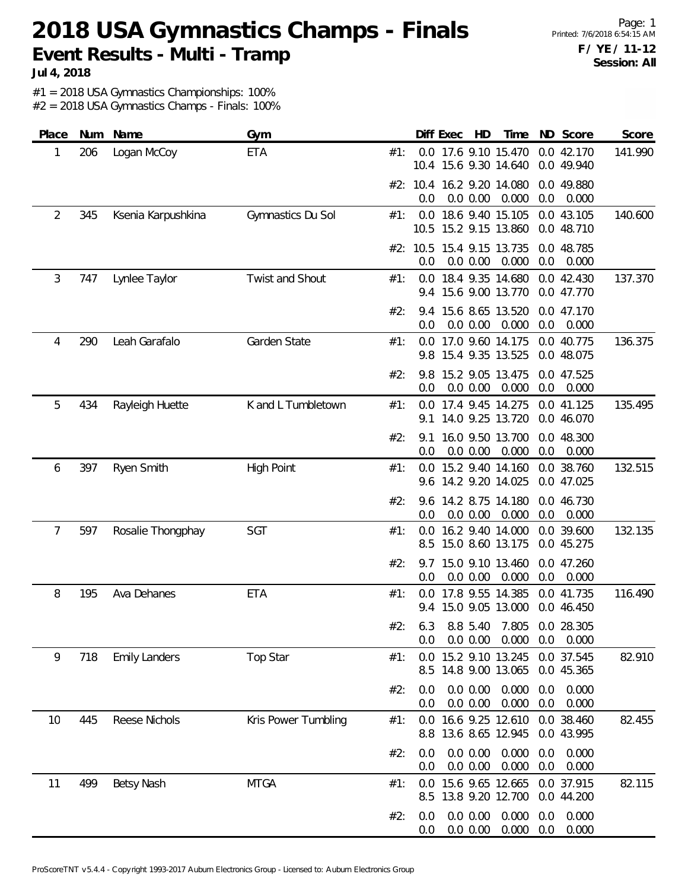#### **2018 USA Gymnastics Champs - Finals Event Results - Multi - Tramp**

**Jul 4, 2018**

#1 = 2018 USA Gymnastics Championships: 100%

| Place | Num | Name                 | Gym                 |     |            | Diff Exec | HD                   | Time                                          |            | ND Score                 | Score   |
|-------|-----|----------------------|---------------------|-----|------------|-----------|----------------------|-----------------------------------------------|------------|--------------------------|---------|
| 1     | 206 | Logan McCoy          | <b>ETA</b>          | #1: |            |           |                      | 0.0 17.6 9.10 15.470<br>10.4 15.6 9.30 14.640 |            | 0.0 42.170<br>0.0 49.940 | 141.990 |
|       |     |                      |                     |     | 0.0        |           | 0.0 0.00             | #2: 10.4 16.2 9.20 14.080<br>0.000            | 0.0        | 0.0 49.880<br>0.000      |         |
| 2     | 345 | Ksenia Karpushkina   | Gymnastics Du Sol   | #1: |            |           |                      | 0.0 18.6 9.40 15.105<br>10.5 15.2 9.15 13.860 |            | 0.0 43.105<br>0.0 48.710 | 140.600 |
|       |     |                      |                     |     | 0.0        |           | 0.0 0.00             | #2: 10.5 15.4 9.15 13.735<br>0.000            | 0.0        | 0.0 48.785<br>0.000      |         |
| 3     | 747 | Lynlee Taylor        | Twist and Shout     | #1: | 0.0        |           |                      | 18.4 9.35 14.680<br>9.4 15.6 9.00 13.770      |            | 0.0 42.430<br>0.0 47.770 | 137.370 |
|       |     |                      |                     | #2: | 9.4<br>0.0 |           | 0.0 0.00             | 15.6 8.65 13.520<br>0.000                     | 0.0        | 0.0 47.170<br>0.000      |         |
| 4     | 290 | Leah Garafalo        | Garden State        | #1: |            |           |                      | 0.0 17.0 9.60 14.175<br>9.8 15.4 9.35 13.525  |            | 0.0 40.775<br>0.0 48.075 | 136.375 |
|       |     |                      |                     | #2: | 9.8<br>0.0 |           | 0.0 0.00             | 15.2 9.05 13.475<br>0.000                     | 0.0        | 0.0 47.525<br>0.000      |         |
| 5     | 434 | Rayleigh Huette      | K and L Tumbletown  | #1: | 9.1        |           |                      | 0.0 17.4 9.45 14.275<br>14.0 9.25 13.720      |            | 0.0 41.125<br>0.0 46.070 | 135.495 |
|       |     |                      |                     | #2: | 9.1<br>0.0 |           | 0.0 0.00             | 16.0 9.50 13.700<br>0.000                     | 0.0        | 0.0 48.300<br>0.000      |         |
| 6     | 397 | Ryen Smith           | <b>High Point</b>   | #1: | 0.0        |           |                      | 15.2 9.40 14.160<br>9.6 14.2 9.20 14.025      |            | 0.0 38.760<br>0.0 47.025 | 132.515 |
|       |     |                      |                     | #2: | 9.6<br>0.0 |           | 0.0 0.00             | 14.2 8.75 14.180<br>0.000                     | 0.0        | 0.0 46.730<br>0.000      |         |
| 7     | 597 | Rosalie Thongphay    | SGT                 | #1: | 0.0<br>8.5 |           |                      | 16.2 9.40 14.000<br>15.0 8.60 13.175          |            | 0.0 39.600<br>0.0 45.275 | 132.135 |
|       |     |                      |                     | #2: | 0.0        |           | 0.0 0.00             | 9.7 15.0 9.10 13.460<br>0.000                 | 0.0        | 0.0 47.260<br>0.000      |         |
| 8     | 195 | Ava Dehanes          | ETA                 | #1: |            |           |                      | 0.0 17.8 9.55 14.385<br>9.4 15.0 9.05 13.000  |            | 0.0 41.735<br>0.0 46.450 | 116.490 |
|       |     |                      |                     | #2: | 0.0        |           | 0.0 0.00             | 6.3 8.8 5.40 7.805 0.0 28.305<br>0.000        | 0.0        | 0.000                    |         |
| 9     | 718 | <b>Emily Landers</b> | Top Star            | #1: | 0.0<br>8.5 |           |                      | 15.2 9.10 13.245<br>14.8 9.00 13.065          |            | 0.0 37.545<br>0.0 45.365 | 82.910  |
|       |     |                      |                     | #2: | 0.0<br>0.0 |           | 0.0 0.00<br>0.0 0.00 | 0.000<br>0.000                                | 0.0<br>0.0 | 0.000<br>0.000           |         |
| 10    | 445 | Reese Nichols        | Kris Power Tumbling | #1: | 0.0<br>8.8 |           |                      | 16.6 9.25 12.610<br>13.6 8.65 12.945          |            | 0.0 38.460<br>0.0 43.995 | 82.455  |
|       |     |                      |                     | #2: | 0.0<br>0.0 |           | 0.0 0.00<br>0.0 0.00 | 0.000<br>0.000                                | 0.0<br>0.0 | 0.000<br>0.000           |         |
| 11    | 499 | Betsy Nash           | <b>MTGA</b>         | #1: | 0.0<br>8.5 |           |                      | 15.6 9.65 12.665<br>13.8 9.20 12.700          |            | 0.0 37.915<br>0.0 44.200 | 82.115  |
|       |     |                      |                     | #2: | 0.0<br>0.0 |           | 0.0 0.00<br>0.0 0.00 | 0.000<br>0.000                                | 0.0<br>0.0 | 0.000<br>0.000           |         |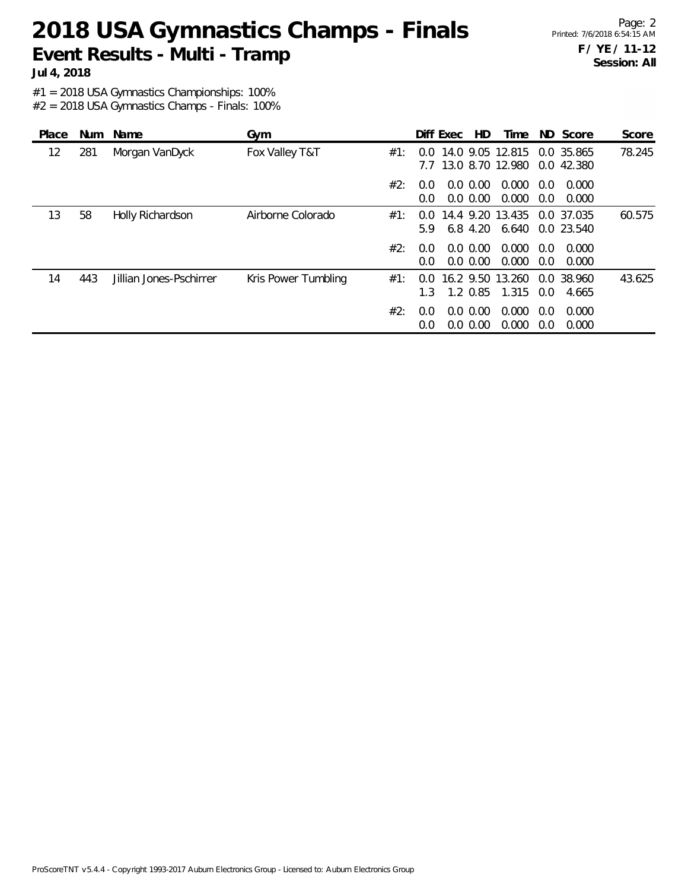### **2018 USA Gymnastics Champs - Finals Event Results - Multi - Tramp**

**Jul 4, 2018**

#1 = 2018 USA Gymnastics Championships: 100%

| Place | <b>Num</b> | Name                    | Gym                 |     |                | Diff Exec | HD.                        | Time                                 |            | ND Score                 | Score  |
|-------|------------|-------------------------|---------------------|-----|----------------|-----------|----------------------------|--------------------------------------|------------|--------------------------|--------|
| 12    | 281        | Morgan VanDyck          | Fox Valley T&T      | #1: | 0.0<br>7.7     |           |                            | 14.0 9.05 12.815<br>13.0 8.70 12.980 |            | 0.0 35.865<br>0.0 42.380 | 78.245 |
|       |            |                         |                     | #2: | 0.0<br>0.0     |           | $0.0\,0.00$<br>$0.0\,0.00$ | 0.000<br>0.000                       | 0.0<br>0.0 | 0.000<br>0.000           |        |
| 13    | 58         | Holly Richardson        | Airborne Colorado   | #1: | $0.0^-$<br>5.9 |           | 6.8 4.20                   | 14.4 9.20 13.435<br>6.640            |            | 0.0 37.035<br>0.0 23.540 | 60.575 |
|       |            |                         |                     | #2: | 0.0<br>0.0     |           | $0.0\,0.00$<br>$0.0\,0.00$ | 0.000<br>0.000                       | 0.0<br>0.0 | 0.000<br>0.000           |        |
| 14    | 443        | Jillian Jones-Pschirrer | Kris Power Tumbling | #1: | $0.0^-$<br>1.3 |           | $1.2 \, 0.85$              | 16.2 9.50 13.260<br>1.315            | 0.0        | 0.0 38.960<br>4.665      | 43.625 |
|       |            |                         |                     | #2: | 0.0<br>0.0     |           | $0.0\ 0.00$<br>$0.0\,0.00$ | 0.000<br>0.000                       | 0.0<br>0.0 | 0.000<br>0.000           |        |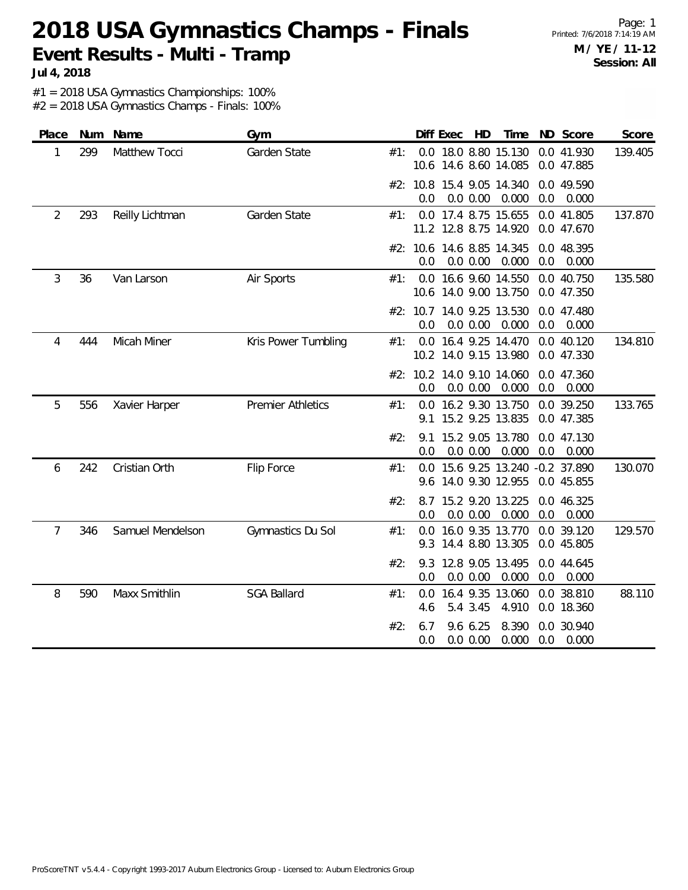# **2018 USA Gymnastics Champs - Finals Event Results - Multi - Tramp**

**Jul 4, 2018**

#1 = 2018 USA Gymnastics Championships: 100%

| Place          |     | Num Name         | Gym                      |     |            | Diff Exec | HD                   | Time                                                     |     | ND Score                 | Score   |
|----------------|-----|------------------|--------------------------|-----|------------|-----------|----------------------|----------------------------------------------------------|-----|--------------------------|---------|
| 1              | 299 | Matthew Tocci    | Garden State             | #1: |            |           |                      | 0.0 18.0 8.80 15.130<br>10.6 14.6 8.60 14.085            |     | 0.0 41.930<br>0.0 47.885 | 139.405 |
|                |     |                  |                          |     | 0.0        |           | 0.0 0.00             | #2: 10.8 15.4 9.05 14.340<br>0.000                       | 0.0 | 0.0 49.590<br>0.000      |         |
| $\overline{2}$ | 293 | Reilly Lichtman  | Garden State             | #1: |            |           |                      | 0.0 17.4 8.75 15.655<br>11.2 12.8 8.75 14.920            |     | 0.0 41.805<br>0.0 47.670 | 137.870 |
|                |     |                  |                          |     | 0.0        |           | 0.0 0.00             | #2: 10.6 14.6 8.85 14.345<br>0.000                       | 0.0 | 0.0 48.395<br>0.000      |         |
| 3              | 36  | Van Larson       | Air Sports               | #1: |            |           |                      | 0.0 16.6 9.60 14.550<br>10.6 14.0 9.00 13.750            |     | 0.0 40.750<br>0.0 47.350 | 135.580 |
|                |     |                  |                          |     | 0.0        |           | 0.0 0.00             | #2: 10.7 14.0 9.25 13.530<br>0.000                       | 0.0 | 0.0 47.480<br>0.000      |         |
| 4              | 444 | Micah Miner      | Kris Power Tumbling      | #1: |            |           |                      | 0.0 16.4 9.25 14.470<br>10.2 14.0 9.15 13.980            |     | 0.0 40.120<br>0.0 47.330 | 134.810 |
|                |     |                  |                          |     | 0.0        |           | 0.0 0.00             | #2: 10.2 14.0 9.10 14.060<br>0.000                       | 0.0 | 0.0 47.360<br>0.000      |         |
| 5              | 556 | Xavier Harper    | <b>Premier Athletics</b> | #1: | 9.1        |           |                      | 0.0 16.2 9.30 13.750<br>15.2 9.25 13.835                 |     | 0.0 39.250<br>0.0 47.385 | 133.765 |
|                |     |                  |                          | #2: | 9.1<br>0.0 |           | 0.0 0.00             | 15.2 9.05 13.780<br>0.000                                | 0.0 | 0.0 47.130<br>0.000      |         |
| 6              | 242 | Cristian Orth    | Flip Force               | #1: |            |           |                      | 0.0 15.6 9.25 13.240 -0.2 37.890<br>9.6 14.0 9.30 12.955 |     | 0.0 45.855               | 130.070 |
|                |     |                  |                          | #2: | 8.7<br>0.0 |           | 0.0 0.00             | 15.2 9.20 13.225<br>0.000                                | 0.0 | 0.0 46.325<br>0.000      |         |
| 7              | 346 | Samuel Mendelson | Gymnastics Du Sol        | #1: | 0.0<br>9.3 |           |                      | 16.0 9.35 13.770<br>14.4 8.80 13.305                     |     | 0.0 39.120<br>0.0 45.805 | 129.570 |
|                |     |                  |                          | #2: | 9.3<br>0.0 |           | 0.0 0.00             | 12.8 9.05 13.495<br>0.000                                | 0.0 | 0.0 44.645<br>0.000      |         |
| 8              | 590 | Maxx Smithlin    | <b>SGA Ballard</b>       | #1: | 0.0<br>4.6 |           | 5.4 3.45             | 16.4 9.35 13.060<br>4.910                                |     | 0.0 38.810<br>0.0 18.360 | 88.110  |
|                |     |                  |                          | #2: | 6.7<br>0.0 |           | 9.6 6.25<br>0.0 0.00 | 8.390<br>0.000                                           | 0.0 | 0.0 30.940<br>0.000      |         |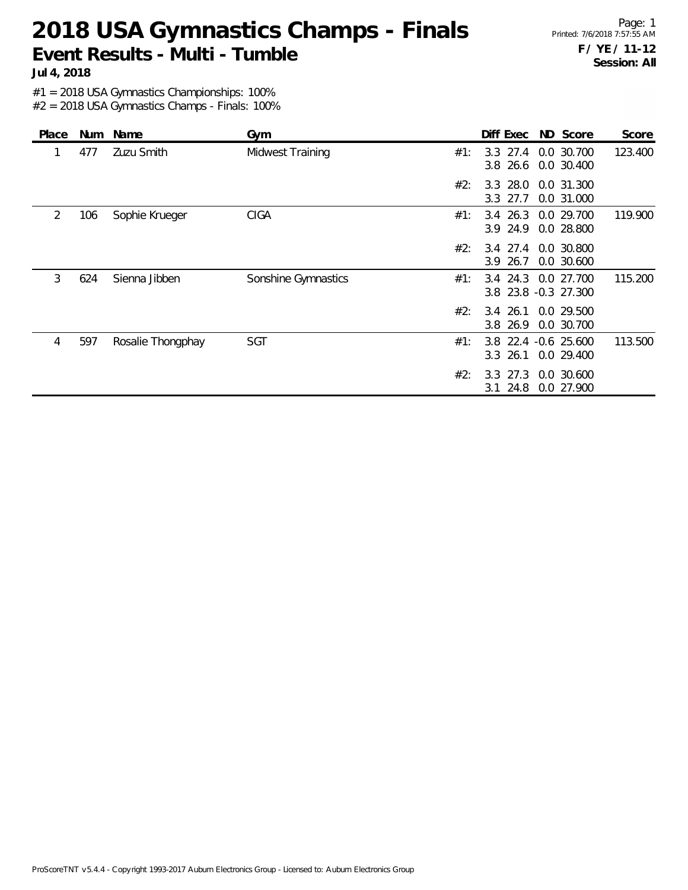# **2018 USA Gymnastics Champs - Finals Event Results - Multi - Tumble**

Page: 1 Printed: 7/6/2018 7:57:55 AM **F / YE / 11-12 Session: All**

**Jul 4, 2018**

#1 = 2018 USA Gymnastics Championships: 100%

| Place | <b>Num</b> | Name              | Gym                 | Diff Exec ND Score<br>Score                                          |
|-------|------------|-------------------|---------------------|----------------------------------------------------------------------|
|       | 477        | Zuzu Smith        | Midwest Training    | 123.400<br>$3.3$ 27.4<br>0.0 30.700<br>#1:<br>3.8 26.6<br>0.0 30.400 |
|       |            |                   |                     | 3.3 28.0 0.0 31.300<br>#2:<br>3.3 27.7<br>0.0 31.000                 |
| 2     | 106        | Sophie Krueger    | <b>CIGA</b>         | 3.4 26.3 0.0 29.700<br>119.900<br>#1:<br>3.9 24.9<br>0.0 28.800      |
|       |            |                   |                     | $3.4$ 27.4<br>#2:<br>0.0 30.800<br>3.9 26.7<br>0.0 30.600            |
| 3     | 624        | Sienna Jibben     | Sonshine Gymnastics | 115.200<br>3.4 24.3<br>0.0 27.700<br>#1:<br>3.8 23.8 -0.3 27.300     |
|       |            |                   |                     | 3.4 26.1 0.0 29.500<br>#2:<br>3.8 26.9<br>0.0 30.700                 |
| 4     | 597        | Rosalie Thongphay | SGT                 | 3.8 22.4 -0.6 25.600<br>113.500<br>#1:<br>$3.3$ 26.1<br>0.0 29.400   |
|       |            |                   |                     | 27.3<br>0.0 30.600<br>#2:<br>3.3<br>24.8<br>0.0 27.900<br>3.1        |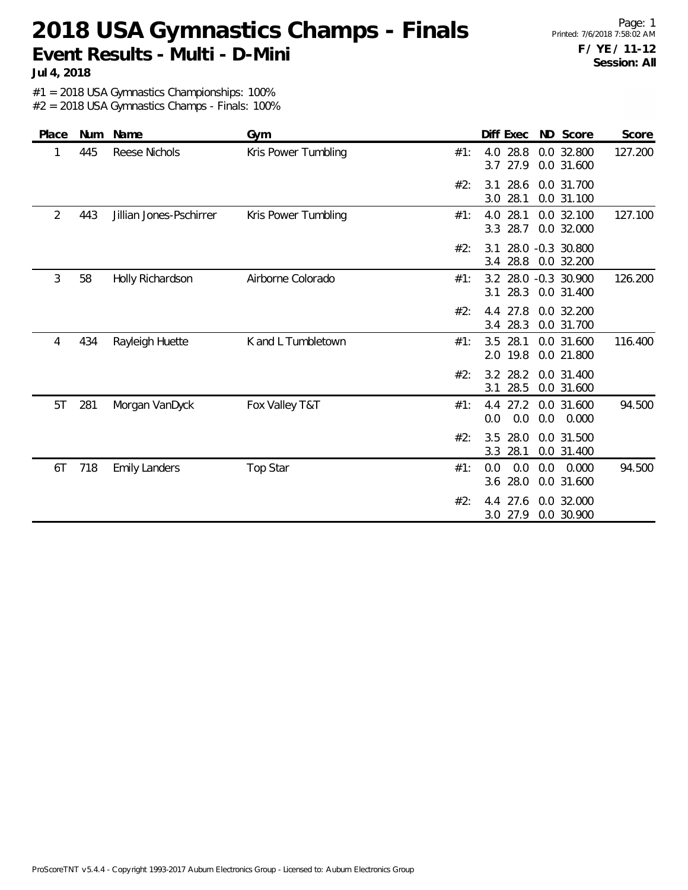### **2018 USA Gymnastics Champs - Finals Event Results - Multi - D-Mini**

**Jul 4, 2018**

#1 = 2018 USA Gymnastics Championships: 100%

| Place | Num | Name                    | Gym                 |     | Diff Exec                  | ND Score                           | Score   |
|-------|-----|-------------------------|---------------------|-----|----------------------------|------------------------------------|---------|
| 1     | 445 | Reese Nichols           | Kris Power Tumbling | #1: | 28.8<br>4.0<br>3.7<br>27.9 | 0.0 32.800<br>0.0 31.600           | 127.200 |
|       |     |                         |                     | #2: | 28.6<br>3.1<br>3.0<br>28.1 | 0.0 31.700<br>0.0 31.100           |         |
| 2     | 443 | Jillian Jones-Pschirrer | Kris Power Tumbling | #1: | 28.1<br>4.0<br>28.7<br>3.3 | 0.0 32.100<br>0.0 32.000           | 127.100 |
|       |     |                         |                     | #2: | 3.1<br>28.8<br>3.4         | 28.0 -0.3 30.800<br>0.0 32.200     |         |
| 3     | 58  | Holly Richardson        | Airborne Colorado   | #1: | 28.3<br>3.1                | 3.2 28.0 -0.3 30.900<br>0.0 31.400 | 126.200 |
|       |     |                         |                     | #2: | 4.4 27.8<br>28.3<br>3.4    | 0.0 32.200<br>0.0 31.700           |         |
| 4     | 434 | Rayleigh Huette         | K and L Tumbletown  | #1: | 3.5<br>28.1<br>2.0 19.8    | 0.0 31.600<br>0.0 21.800           | 116.400 |
|       |     |                         |                     | #2: | 3.2 28.2<br>3.1<br>28.5    | 0.0 31.400<br>0.0 31.600           |         |
| 5T    | 281 | Morgan VanDyck          | Fox Valley T&T      | #1: | 27.2<br>4.4<br>0.0<br>0.0  | 0.0 31.600<br>0.0<br>0.000         | 94.500  |
|       |     |                         |                     | #2: | 3.5<br>28.0<br>3.3<br>28.1 | 0.0 31.500<br>0.0 31.400           |         |
| 6T    | 718 | <b>Emily Landers</b>    | Top Star            | #1: | 0.0<br>0.0<br>28.0<br>3.6  | 0.000<br>0.0<br>0.0 31.600         | 94.500  |
|       |     |                         |                     | #2: | 27.6<br>4.4<br>3.0<br>27.9 | 0.0 32.000<br>0.0 30.900           |         |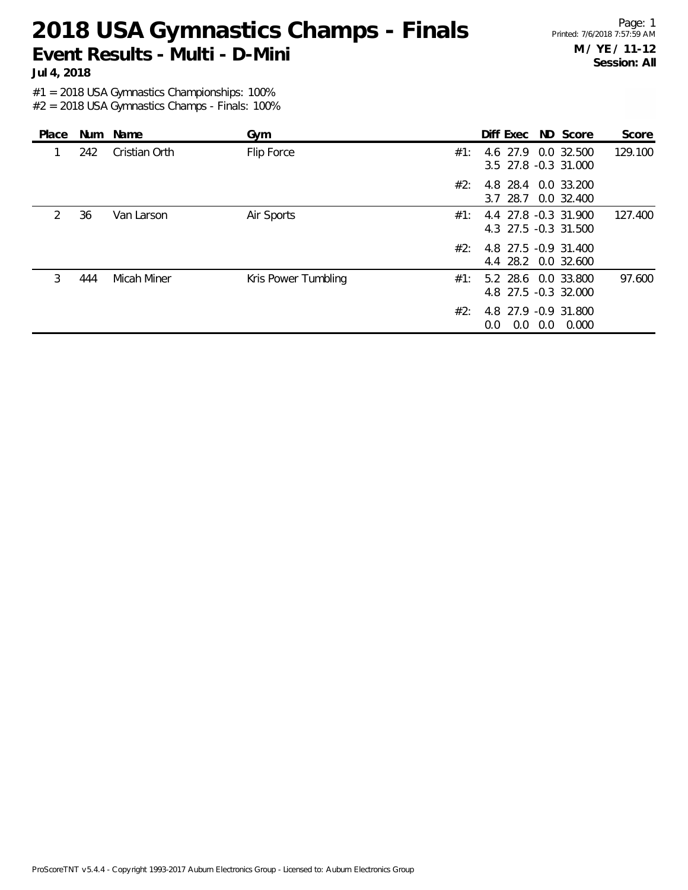#### **2018 USA Gymnastics Champs - Finals Event Results - Multi - D-Mini**

Page: 1 Printed: 7/6/2018 7:57:59 AM **M / YE / 11-12 Session: All**

**Jul 4, 2018**

#1 = 2018 USA Gymnastics Championships: 100%

| Place         |     | Num Name           | Gym                 |     | Diff Exec ND Score                            |       | Score   |
|---------------|-----|--------------------|---------------------|-----|-----------------------------------------------|-------|---------|
|               | 242 | Cristian Orth      | Flip Force          | #1: | 4.6 27.9 0.0 32.500<br>3.5 27.8 -0.3 31.000   |       | 129.100 |
|               |     |                    |                     | #2∵ | 4.8 28.4 0.0 33.200<br>3.7 28.7 0.0 32.400    |       |         |
| $\mathcal{P}$ | 36  | Van Larson         | Air Sports          | #1: | 4.4 27.8 -0.3 31.900<br>4.3 27.5 -0.3 31.500  |       | 127.400 |
|               |     |                    |                     | #2: | 4.8 27.5 -0.9 31.400<br>4.4 28.2 0.0 32.600   |       |         |
| 3             | 444 | <b>Micah Miner</b> | Kris Power Tumbling | #1: | 5.2 28.6 0.0 33.800<br>4.8 27.5 -0.3 32.000   |       | 97.600  |
|               |     |                    |                     | #2: | 4.8 27.9 -0.9 31.800<br>$0.0\ 0.0$<br>$0.0 -$ | 0.000 |         |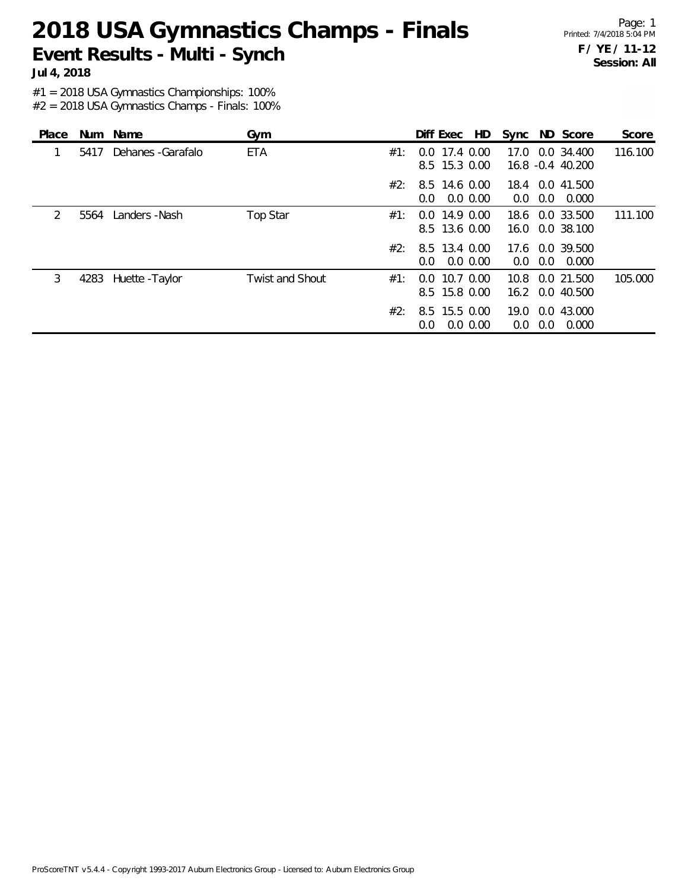### **2018 USA Gymnastics Champs - Finals Event Results - Multi - Synch**

Page: 1 Printed: 7/4/2018 5:04 PM **F / YE / 11-12 Session: All**

**Jul 4, 2018**

#1 = 2018 USA Gymnastics Championships: 100%

| Place         |      | Num Name             | Gym                    |     | HD<br>Diff Exec                     | Sync ND Score                             | Score   |
|---------------|------|----------------------|------------------------|-----|-------------------------------------|-------------------------------------------|---------|
|               | 5417 | Dehanes - Garafalo   | <b>ETA</b>             | #1: | $0.0$ 17.4 $0.00$<br>8.5 15.3 0.00  | 0.0 34.400<br>17.0<br>16.8 -0.4 40.200    | 116.100 |
|               |      |                      |                        | #2: | 8.5 14.6 0.00<br>$0.0\,0.00$<br>0.0 | 18.4 0.0 41.500<br>0.000<br>0.0<br>0.0    |         |
| $\mathcal{P}$ | 5564 | Landers -Nash        | Top Star               | #1: | $0.0$ 14.9 $0.00$<br>8.5 13.6 0.00  | 0.0 33.500<br>18.6<br>0.0 38.100<br>16.0  | 111.100 |
|               |      |                      |                        | #2: | 8.5 13.4 0.00<br>0.0 0.00<br>0.0    | 17.6 0.0 39.500<br>0.0<br>0.000<br>0.0    |         |
| 3             |      | 4283 Huette - Taylor | <b>Twist and Shout</b> | #1: | $0.0$ 10.7 $0.00$<br>8.5 15.8 0.00  | 0.0 21.500<br>10.8<br>16.2 0.0 40.500     | 105.000 |
|               |      |                      |                        | #2: | 8.5 15.5 0.00<br>$0.0\,0.00$<br>0.0 | 19.0<br>0.0 43.000<br>0.000<br>0.0<br>0.0 |         |